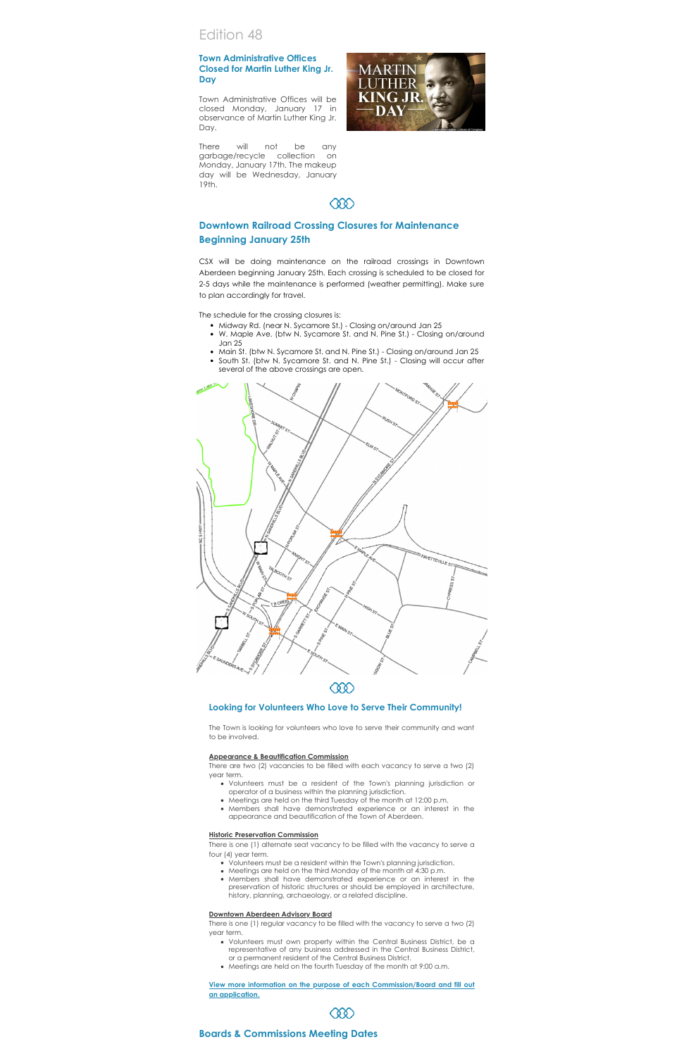# Edition 48

# **Town Administrative Offices Closed for Martin Luther King Jr. Day**

Town Administrative Offices will be closed Monday, January 17 in observance of Martin Luther King Jr. Day.

There will not be any garbage/recycle collection on Monday, January 17th. The makeup day will be Wednesday, January 19th.



# **000**

# **Downtown Railroad Crossing Closures for Maintenance Beginning January 25th**

CSX will be doing maintenance on the railroad crossings in Downtown Aberdeen [beginning January 25th. Each crossing is scheduled to be closed for](https://www.facebook.com/DowntownAberdeen/?__cft__%5B0%5D=AZVpwnk3WgpRRLGGwDofHbQ18Us7cEoeYZ1lE_xq5R0XAh3xEo9WsF1Cp6g10jz__sPEVj-j6dzyKwyx6pgiEXDJMgsYfVnPyIkV_IBhv7fRZ0_QHFejs8zooikee-0hEzK62X7pbZsKyHJotQlXw3d_p5iokTp6GxQ5rOzU26cxZQ&__tn__=kK-R) 2-5 days while the maintenance is performed (weather permitting). Make sure to plan accordingly for travel.

The schedule for the crossing closures is:

- Midway Rd. (near N. Sycamore St.) Closing on/around Jan 25
- W. Maple Ave. (btw N. Sycamore St. and N. Pine St.) Closing on/around Jan 25
- Main St. (btw N. Sycamore St. and N. Pine St.) Closing on/around Jan 25
- South St. (btw N. Sycamore St. and N. Pine St.) Closing will occur after several of the above crossings are open.



## **Looking for Volunteers Who Love to Serve Their Community!**

The Town is looking for volunteers who love to serve their community and want to be involved.

#### **Appearance & Beautification Commission**

There are two (2) vacancies to be filled with each vacancy to serve a two (2) year term.

- - Volunteers must be a resident of the Town's planning jurisdiction or operator of a business within the planning jurisdiction.
	- Meetings are held on the third Tuesday of the month at 12:00 p.m.
	- Members shall have demonstrated experience or an interest in the appearance and beautification of the Town of Aberdeen.

#### **Historic Preservation Commission**

There is one (1) alternate seat vacancy to be filled with the vacancy to serve a four (4) year term.

- Volunteers must be a resident within the Town's planning jurisdiction.
- Meetings are held on the third Monday of the month at 4:30 p.m.
- Members shall have demonstrated experience or an interest in the preservation of historic structures or should be employed in architecture, history, planning, archaeology, or a related discipline.

## **Downtown Aberdeen Advisory Board**

There is one (1) regular vacancy to be filled with the vacancy to serve a two (2) year term.

- Volunteers must own property within the Central Business District, be a representative of any business addressed in the Central Business District, or a permanent resident of the Central Business District.
- Meetings are held on the fourth Tuesday of the month at 9:00 a.m.

#### **[View more information on the purpose of each Commission/Board and fill](https://aberdeennc.municipalone.com/newsview.aspx?nid=6076) out an application.**



# **Boards & Commissions Meeting Dates**